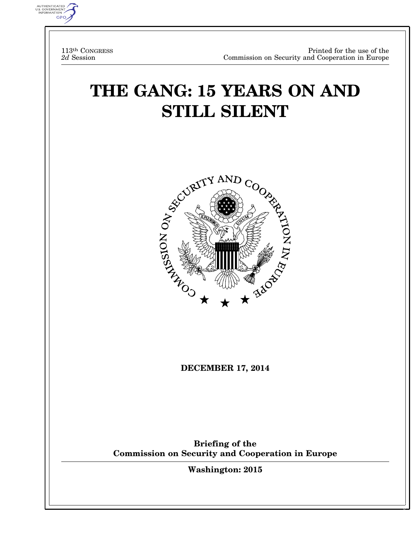

113th CONGRESS *2d* Session

# **THE GANG: 15 YEARS ON AND STILL SILENT**



**DECEMBER 17, 2014** 

**Briefing of the Commission on Security and Cooperation in Europe** 

**Washington: 2015** 

 $\frac{1}{2}$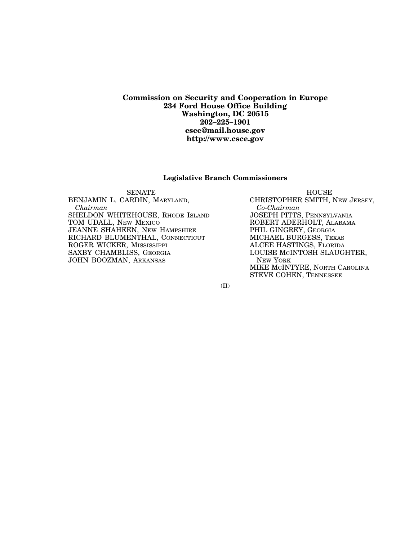#### **Commission on Security and Cooperation in Europe 234 Ford House Office Building Washington, DC 20515 202–225–1901 csce@mail.house.gov http://www.csce.gov**

#### **Legislative Branch Commissioners**

SENATE HOUSE BENJAMIN L. CARDIN, MARYLAND, *Chairman*  SHELDON WHITEHOUSE, RHODE ISLAND TOM UDALL, NEW MEXICO JEANNE SHAHEEN, NEW HAMPSHIRE RICHARD BLUMENTHAL, CONNECTICUT ROGER WICKER, MISSISSIPPI SAXBY CHAMBLISS, GEORGIA JOHN BOOZMAN, ARKANSAS

CHRISTOPHER SMITH, NEW JERSEY, *Co-Chairman*  JOSEPH PITTS, PENNSYLVANIA ROBERT ADERHOLT, ALABAMA PHIL GINGREY, GEORGIA MICHAEL BURGESS, TEXAS ALCEE HASTINGS, FLORIDA LOUISE MCINTOSH SLAUGHTER, NEW YORK MIKE MCINTYRE, NORTH CAROLINA STEVE COHEN, TENNESSEE

(II)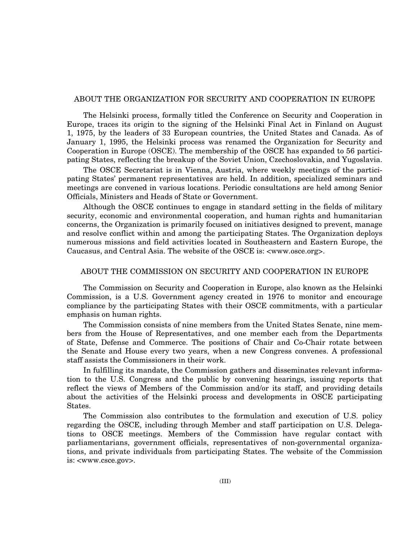#### ABOUT THE ORGANIZATION FOR SECURITY AND COOPERATION IN EUROPE

The Helsinki process, formally titled the Conference on Security and Cooperation in Europe, traces its origin to the signing of the Helsinki Final Act in Finland on August 1, 1975, by the leaders of 33 European countries, the United States and Canada. As of January 1, 1995, the Helsinki process was renamed the Organization for Security and Cooperation in Europe (OSCE). The membership of the OSCE has expanded to 56 participating States, reflecting the breakup of the Soviet Union, Czechoslovakia, and Yugoslavia.

The OSCE Secretariat is in Vienna, Austria, where weekly meetings of the participating States' permanent representatives are held. In addition, specialized seminars and meetings are convened in various locations. Periodic consultations are held among Senior Officials, Ministers and Heads of State or Government.

Although the OSCE continues to engage in standard setting in the fields of military security, economic and environmental cooperation, and human rights and humanitarian concerns, the Organization is primarily focused on initiatives designed to prevent, manage and resolve conflict within and among the participating States. The Organization deploys numerous missions and field activities located in Southeastern and Eastern Europe, the Caucasus, and Central Asia. The website of the OSCE is: <www.osce.org>.

#### ABOUT THE COMMISSION ON SECURITY AND COOPERATION IN EUROPE

The Commission on Security and Cooperation in Europe, also known as the Helsinki Commission, is a U.S. Government agency created in 1976 to monitor and encourage compliance by the participating States with their OSCE commitments, with a particular emphasis on human rights.

The Commission consists of nine members from the United States Senate, nine members from the House of Representatives, and one member each from the Departments of State, Defense and Commerce. The positions of Chair and Co-Chair rotate between the Senate and House every two years, when a new Congress convenes. A professional staff assists the Commissioners in their work.

In fulfilling its mandate, the Commission gathers and disseminates relevant information to the U.S. Congress and the public by convening hearings, issuing reports that reflect the views of Members of the Commission and/or its staff, and providing details about the activities of the Helsinki process and developments in OSCE participating States.

The Commission also contributes to the formulation and execution of U.S. policy regarding the OSCE, including through Member and staff participation on U.S. Delegations to OSCE meetings. Members of the Commission have regular contact with parliamentarians, government officials, representatives of non-governmental organizations, and private individuals from participating States. The website of the Commission is: <www.csce.gov>.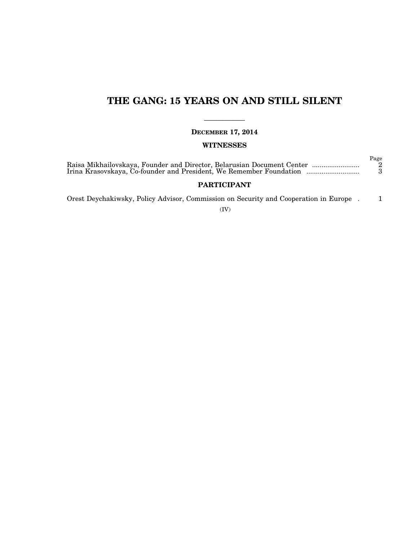## **THE GANG: 15 YEARS ON AND STILL SILENT**

—————— **DECEMBER 17, 2014** 

## **WITNESSES**

|                                                                        | Page |
|------------------------------------------------------------------------|------|
| Raisa Mikhailovskaya, Founder and Director, Belarusian Document Center | - 2  |
| Irina Krasovskaya, Co-founder and President, We Remember Foundation    |      |

## **PARTICIPANT**

Orest Deychakiwsky, Policy Advisor, Commission on Security and Cooperation in Europe . 1

(IV)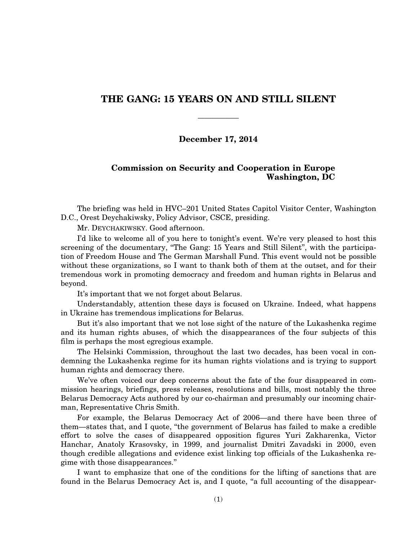## **THE GANG: 15 YEARS ON AND STILL SILENT**

——————

## **December 17, 2014**

## **Commission on Security and Cooperation in Europe Washington, DC**

The briefing was held in HVC–201 United States Capitol Visitor Center, Washington D.C., Orest Deychakiwsky, Policy Advisor, CSCE, presiding.

Mr. DEYCHAKIWSKY. Good afternoon.

I'd like to welcome all of you here to tonight's event. We're very pleased to host this screening of the documentary, "The Gang: 15 Years and Still Silent", with the participation of Freedom House and The German Marshall Fund. This event would not be possible without these organizations, so I want to thank both of them at the outset, and for their tremendous work in promoting democracy and freedom and human rights in Belarus and beyond.

It's important that we not forget about Belarus.

Understandably, attention these days is focused on Ukraine. Indeed, what happens in Ukraine has tremendous implications for Belarus.

But it's also important that we not lose sight of the nature of the Lukashenka regime and its human rights abuses, of which the disappearances of the four subjects of this film is perhaps the most egregious example.

The Helsinki Commission, throughout the last two decades, has been vocal in condemning the Lukashenka regime for its human rights violations and is trying to support human rights and democracy there.

We've often voiced our deep concerns about the fate of the four disappeared in commission hearings, briefings, press releases, resolutions and bills, most notably the three Belarus Democracy Acts authored by our co-chairman and presumably our incoming chairman, Representative Chris Smith.

For example, the Belarus Democracy Act of 2006—and there have been three of them—states that, and I quote, ''the government of Belarus has failed to make a credible effort to solve the cases of disappeared opposition figures Yuri Zakharenka, Victor Hanchar, Anatoly Krasovsky, in 1999, and journalist Dmitri Zavadski in 2000, even though credible allegations and evidence exist linking top officials of the Lukashenka regime with those disappearances.''

I want to emphasize that one of the conditions for the lifting of sanctions that are found in the Belarus Democracy Act is, and I quote, "a full accounting of the disappear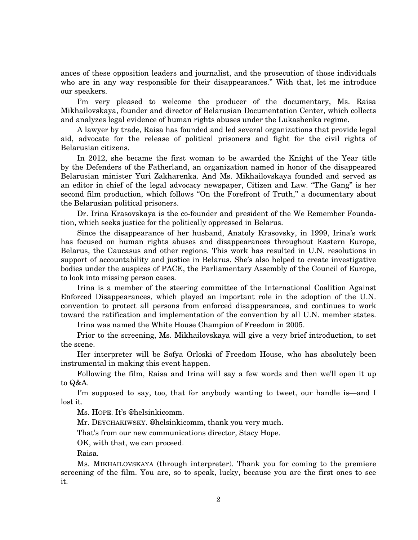ances of these opposition leaders and journalist, and the prosecution of those individuals who are in any way responsible for their disappearances.'' With that, let me introduce our speakers.

I'm very pleased to welcome the producer of the documentary, Ms. Raisa Mikhailovskaya, founder and director of Belarusian Documentation Center, which collects and analyzes legal evidence of human rights abuses under the Lukashenka regime.

A lawyer by trade, Raisa has founded and led several organizations that provide legal aid, advocate for the release of political prisoners and fight for the civil rights of Belarusian citizens.

In 2012, she became the first woman to be awarded the Knight of the Year title by the Defenders of the Fatherland, an organization named in honor of the disappeared Belarusian minister Yuri Zakharenka. And Ms. Mikhailovskaya founded and served as an editor in chief of the legal advocacy newspaper, Citizen and Law. ''The Gang'' is her second film production, which follows "On the Forefront of Truth," a documentary about the Belarusian political prisoners.

Dr. Irina Krasovskaya is the co-founder and president of the We Remember Foundation, which seeks justice for the politically oppressed in Belarus.

Since the disappearance of her husband, Anatoly Krasovsky, in 1999, Irina's work has focused on human rights abuses and disappearances throughout Eastern Europe, Belarus, the Caucasus and other regions. This work has resulted in U.N. resolutions in support of accountability and justice in Belarus. She's also helped to create investigative bodies under the auspices of PACE, the Parliamentary Assembly of the Council of Europe, to look into missing person cases.

Irina is a member of the steering committee of the International Coalition Against Enforced Disappearances, which played an important role in the adoption of the U.N. convention to protect all persons from enforced disappearances, and continues to work toward the ratification and implementation of the convention by all U.N. member states.

Irina was named the White House Champion of Freedom in 2005.

Prior to the screening, Ms. Mikhailovskaya will give a very brief introduction, to set the scene.

Her interpreter will be Sofya Orloski of Freedom House, who has absolutely been instrumental in making this event happen.

Following the film, Raisa and Irina will say a few words and then we'll open it up to Q&A.

I'm supposed to say, too, that for anybody wanting to tweet, our handle is—and I lost it.

Ms. HOPE. It's @helsinkicomm.

Mr. DEYCHAKIWSKY. @helsinkicomm, thank you very much.

That's from our new communications director, Stacy Hope.

OK, with that, we can proceed.

Raisa.

Ms. MIKHAILOVSKAYA (through interpreter). Thank you for coming to the premiere screening of the film. You are, so to speak, lucky, because you are the first ones to see it.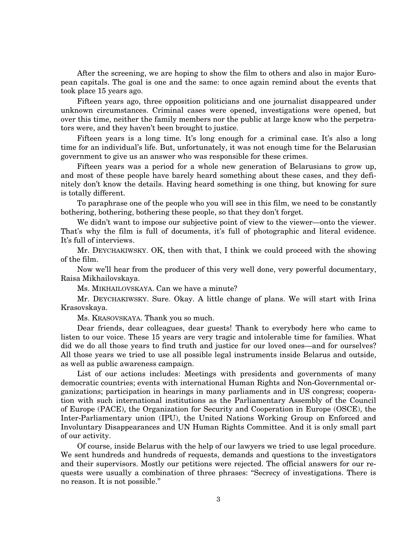After the screening, we are hoping to show the film to others and also in major European capitals. The goal is one and the same: to once again remind about the events that took place 15 years ago.

Fifteen years ago, three opposition politicians and one journalist disappeared under unknown circumstances. Criminal cases were opened, investigations were opened, but over this time, neither the family members nor the public at large know who the perpetrators were, and they haven't been brought to justice.

Fifteen years is a long time. It's long enough for a criminal case. It's also a long time for an individual's life. But, unfortunately, it was not enough time for the Belarusian government to give us an answer who was responsible for these crimes.

Fifteen years was a period for a whole new generation of Belarusians to grow up, and most of these people have barely heard something about these cases, and they definitely don't know the details. Having heard something is one thing, but knowing for sure is totally different.

To paraphrase one of the people who you will see in this film, we need to be constantly bothering, bothering, bothering these people, so that they don't forget.

We didn't want to impose our subjective point of view to the viewer—onto the viewer. That's why the film is full of documents, it's full of photographic and literal evidence. It's full of interviews.

Mr. DEYCHAKIWSKY. OK, then with that, I think we could proceed with the showing of the film.

Now we'll hear from the producer of this very well done, very powerful documentary, Raisa Mikhailovskaya.

Ms. MIKHAILOVSKAYA. Can we have a minute?

Mr. DEYCHAKIWSKY. Sure. Okay. A little change of plans. We will start with Irina Krasovskaya.

Ms. KRASOVSKAYA. Thank you so much.

Dear friends, dear colleagues, dear guests! Thank to everybody here who came to listen to our voice. These 15 years are very tragic and intolerable time for families. What did we do all those years to find truth and justice for our loved ones—and for ourselves? All those years we tried to use all possible legal instruments inside Belarus and outside, as well as public awareness campaign.

List of our actions includes: Meetings with presidents and governments of many democratic countries; events with international Human Rights and Non-Governmental organizations; participation in hearings in many parliaments and in US congress; cooperation with such international institutions as the Parliamentary Assembly of the Council of Europe (PACE), the Organization for Security and Cooperation in Europe (OSCE), the Inter-Parliamentary union (IPU), the United Nations Working Group on Enforced and Involuntary Disappearances and UN Human Rights Committee. And it is only small part of our activity.

Of course, inside Belarus with the help of our lawyers we tried to use legal procedure. We sent hundreds and hundreds of requests, demands and questions to the investigators and their supervisors. Mostly our petitions were rejected. The official answers for our requests were usually a combination of three phrases: ''Secrecy of investigations. There is no reason. It is not possible.''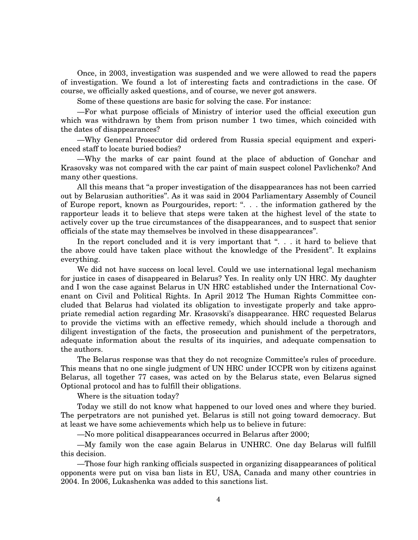Once, in 2003, investigation was suspended and we were allowed to read the papers of investigation. We found a lot of interesting facts and contradictions in the case. Of course, we officially asked questions, and of course, we never got answers.

Some of these questions are basic for solving the case. For instance:

—For what purpose officials of Ministry of interior used the official execution gun which was withdrawn by them from prison number 1 two times, which coincided with the dates of disappearances?

—Why General Prosecutor did ordered from Russia special equipment and experienced staff to locate buried bodies?

—Why the marks of car paint found at the place of abduction of Gonchar and Krasovsky was not compared with the car paint of main suspect colonel Pavlichenko? And many other questions.

All this means that "a proper investigation of the disappearances has not been carried out by Belarusian authorities''. As it was said in 2004 Parliamentary Assembly of Council of Europe report, known as Pourgourides, report: ". . . the information gathered by the rapporteur leads it to believe that steps were taken at the highest level of the state to actively cover up the true circumstances of the disappearances, and to suspect that senior officials of the state may themselves be involved in these disappearances''.

In the report concluded and it is very important that ". . . it hard to believe that the above could have taken place without the knowledge of the President''. It explains everything.

We did not have success on local level. Could we use international legal mechanism for justice in cases of disappeared in Belarus? Yes. In reality only UN HRC. My daughter and I won the case against Belarus in UN HRC established under the International Covenant on Civil and Political Rights. In April 2012 The Human Rights Committee concluded that Belarus had violated its obligation to investigate properly and take appropriate remedial action regarding Mr. Krasovski's disappearance. HRC requested Belarus to provide the victims with an effective remedy, which should include a thorough and diligent investigation of the facts, the prosecution and punishment of the perpetrators, adequate information about the results of its inquiries, and adequate compensation to the authors.

The Belarus response was that they do not recognize Committee's rules of procedure. This means that no one single judgment of UN HRC under ICCPR won by citizens against Belarus, all together 77 cases, was acted on by the Belarus state, even Belarus signed Optional protocol and has to fulfill their obligations.

Where is the situation today?

Today we still do not know what happened to our loved ones and where they buried. The perpetrators are not punished yet. Belarus is still not going toward democracy. But at least we have some achievements which help us to believe in future:

—No more political disappearances occurred in Belarus after 2000;

—My family won the case again Belarus in UNHRC. One day Belarus will fulfill this decision.

—Those four high ranking officials suspected in organizing disappearances of political opponents were put on visa ban lists in EU, USA, Canada and many other countries in 2004. In 2006, Lukashenka was added to this sanctions list.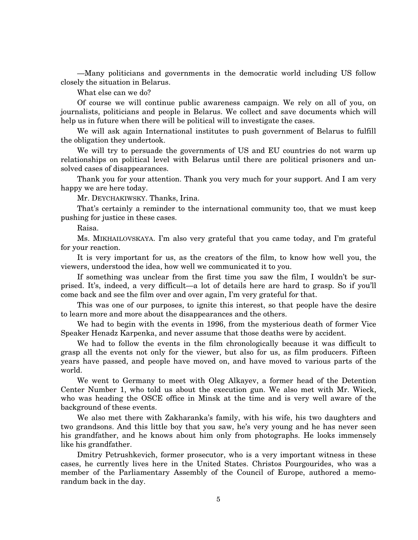—Many politicians and governments in the democratic world including US follow closely the situation in Belarus.

What else can we do?

Of course we will continue public awareness campaign. We rely on all of you, on journalists, politicians and people in Belarus. We collect and save documents which will help us in future when there will be political will to investigate the cases.

We will ask again International institutes to push government of Belarus to fulfill the obligation they undertook.

We will try to persuade the governments of US and EU countries do not warm up relationships on political level with Belarus until there are political prisoners and unsolved cases of disappearances.

Thank you for your attention. Thank you very much for your support. And I am very happy we are here today.

Mr. DEYCHAKIWSKY. Thanks, Irina.

That's certainly a reminder to the international community too, that we must keep pushing for justice in these cases.

Raisa.

Ms. MIKHAILOVSKAYA. I'm also very grateful that you came today, and I'm grateful for your reaction.

It is very important for us, as the creators of the film, to know how well you, the viewers, understood the idea, how well we communicated it to you.

If something was unclear from the first time you saw the film, I wouldn't be surprised. It's, indeed, a very difficult—a lot of details here are hard to grasp. So if you'll come back and see the film over and over again, I'm very grateful for that.

This was one of our purposes, to ignite this interest, so that people have the desire to learn more and more about the disappearances and the others.

We had to begin with the events in 1996, from the mysterious death of former Vice Speaker Henadz Karpenka, and never assume that those deaths were by accident.

We had to follow the events in the film chronologically because it was difficult to grasp all the events not only for the viewer, but also for us, as film producers. Fifteen years have passed, and people have moved on, and have moved to various parts of the world.

We went to Germany to meet with Oleg Alkayev, a former head of the Detention Center Number 1, who told us about the execution gun. We also met with Mr. Wieck, who was heading the OSCE office in Minsk at the time and is very well aware of the background of these events.

We also met there with Zakharanka's family, with his wife, his two daughters and two grandsons. And this little boy that you saw, he's very young and he has never seen his grandfather, and he knows about him only from photographs. He looks immensely like his grandfather.

Dmitry Petrushkevich, former prosecutor, who is a very important witness in these cases, he currently lives here in the United States. Christos Pourgourides, who was a member of the Parliamentary Assembly of the Council of Europe, authored a memorandum back in the day.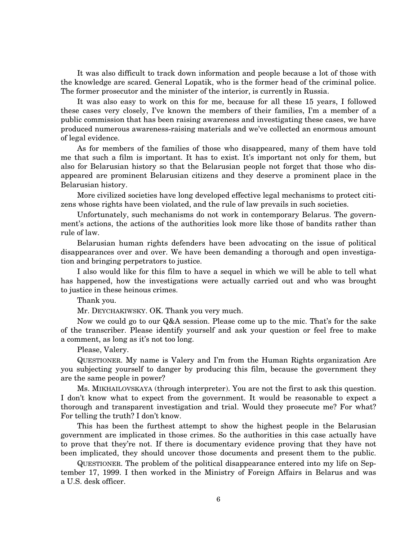It was also difficult to track down information and people because a lot of those with the knowledge are scared. General Lopatik, who is the former head of the criminal police. The former prosecutor and the minister of the interior, is currently in Russia.

It was also easy to work on this for me, because for all these 15 years, I followed these cases very closely, I've known the members of their families, I'm a member of a public commission that has been raising awareness and investigating these cases, we have produced numerous awareness-raising materials and we've collected an enormous amount of legal evidence.

As for members of the families of those who disappeared, many of them have told me that such a film is important. It has to exist. It's important not only for them, but also for Belarusian history so that the Belarusian people not forget that those who disappeared are prominent Belarusian citizens and they deserve a prominent place in the Belarusian history.

More civilized societies have long developed effective legal mechanisms to protect citizens whose rights have been violated, and the rule of law prevails in such societies.

Unfortunately, such mechanisms do not work in contemporary Belarus. The government's actions, the actions of the authorities look more like those of bandits rather than rule of law.

Belarusian human rights defenders have been advocating on the issue of political disappearances over and over. We have been demanding a thorough and open investigation and bringing perpetrators to justice.

I also would like for this film to have a sequel in which we will be able to tell what has happened, how the investigations were actually carried out and who was brought to justice in these heinous crimes.

Thank you.

Mr. DEYCHAKIWSKY. OK. Thank you very much.

Now we could go to our Q&A session. Please come up to the mic. That's for the sake of the transcriber. Please identify yourself and ask your question or feel free to make a comment, as long as it's not too long.

Please, Valery.

QUESTIONER. My name is Valery and I'm from the Human Rights organization Are you subjecting yourself to danger by producing this film, because the government they are the same people in power?

Ms. MIKHAILOVSKAYA (through interpreter). You are not the first to ask this question. I don't know what to expect from the government. It would be reasonable to expect a thorough and transparent investigation and trial. Would they prosecute me? For what? For telling the truth? I don't know.

This has been the furthest attempt to show the highest people in the Belarusian government are implicated in those crimes. So the authorities in this case actually have to prove that they're not. If there is documentary evidence proving that they have not been implicated, they should uncover those documents and present them to the public.

QUESTIONER. The problem of the political disappearance entered into my life on September 17, 1999. I then worked in the Ministry of Foreign Affairs in Belarus and was a U.S. desk officer.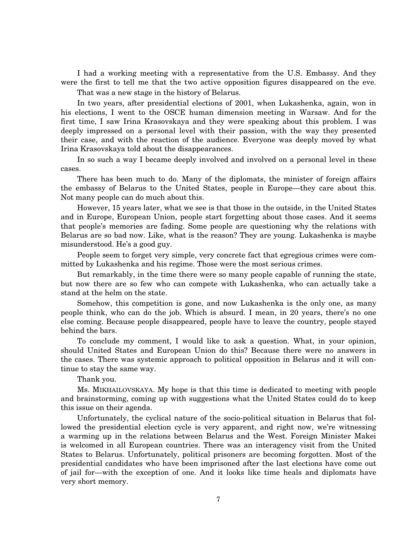I had a working meeting with a representative from the U.S. Embassy. And they were the first to tell me that the two active opposition figures disappeared on the eve.

That was a new stage in the history of Belarus.

In two years, after presidential elections of 2001, when Lukashenka, again, won in his elections, I went to the OSCE human dimension meeting in Warsaw. And for the first time, I saw Irina Krasovskaya and they were speaking about this problem. I was deeply impressed on a personal level with their passion, with the way they presented their case, and with the reaction of the audience. Everyone was deeply moved by what Irina Krasovskaya told about the disappearances.

In so such a way I became deeply involved and involved on a personal level in these cases.

There has been much to do. Many of the diplomats, the minister of foreign affairs the embassy of Belarus to the United States, people in Europe—they care about this. Not many people can do much about this.

However, 15 years later, what we see is that those in the outside, in the United States and in Europe, European Union, people start forgetting about those cases. And it seems that people's memories are fading. Some people are questioning why the relations with Belarus are so bad now. Like, what is the reason? They are young. Lukashenka is maybe misunderstood. He's a good guy.

People seem to forget very simple, very concrete fact that egregious crimes were committed by Lukashenka and his regime. Those were the most serious crimes.

But remarkably, in the time there were so many people capable of running the state, but now there are so few who can compete with Lukashenka, who can actually take a stand at the helm on the state.

Somehow, this competition is gone, and now Lukashenka is the only one, as many people think, who can do the job. Which is absurd. I mean, in 20 years, there's no one else coming. Because people disappeared, people have to leave the country, people stayed behind the bars.

To conclude my comment, I would like to ask a question. What, in your opinion, should United States and European Union do this? Because there were no answers in the cases. There was systemic approach to political opposition in Belarus and it will continue to stay the same way.

Thank you.

Ms. MIKHAILOVSKAYA. My hope is that this time is dedicated to meeting with people and brainstorming, coming up with suggestions what the United States could do to keep this issue on their agenda.

Unfortunately, the cyclical nature of the socio-political situation in Belarus that followed the presidential election cycle is very apparent, and right now, we're witnessing a warming up in the relations between Belarus and the West. Foreign Minister Makei is welcomed in all European countries. There was an interagency visit from the United States to Belarus. Unfortunately, political prisoners are becoming forgotten. Most of the presidential candidates who have been imprisoned after the last elections have come out of jail for—with the exception of one. And it looks like time heals and diplomats have very short memory.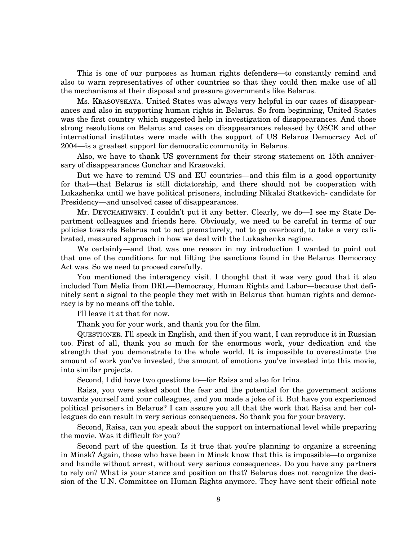This is one of our purposes as human rights defenders—to constantly remind and also to warn representatives of other countries so that they could then make use of all the mechanisms at their disposal and pressure governments like Belarus.

Ms. KRASOVSKAYA. United States was always very helpful in our cases of disappearances and also in supporting human rights in Belarus. So from beginning, United States was the first country which suggested help in investigation of disappearances. And those strong resolutions on Belarus and cases on disappearances released by OSCE and other international institutes were made with the support of US Belarus Democracy Act of 2004—is a greatest support for democratic community in Belarus.

Also, we have to thank US government for their strong statement on 15th anniversary of disappearances Gonchar and Krasovski.

But we have to remind US and EU countries—and this film is a good opportunity for that—that Belarus is still dictatorship, and there should not be cooperation with Lukashenka until we have political prisoners, including Nikalai Statkevich- candidate for Presidency—and unsolved cases of disappearances.

Mr. DEYCHAKIWSKY. I couldn't put it any better. Clearly, we do—I see my State Department colleagues and friends here. Obviously, we need to be careful in terms of our policies towards Belarus not to act prematurely, not to go overboard, to take a very calibrated, measured approach in how we deal with the Lukashenka regime.

We certainly—and that was one reason in my introduction I wanted to point out that one of the conditions for not lifting the sanctions found in the Belarus Democracy Act was. So we need to proceed carefully.

You mentioned the interagency visit. I thought that it was very good that it also included Tom Melia from DRL—Democracy, Human Rights and Labor—because that definitely sent a signal to the people they met with in Belarus that human rights and democracy is by no means off the table.

I'll leave it at that for now.

Thank you for your work, and thank you for the film.

QUESTIONER. I'll speak in English, and then if you want, I can reproduce it in Russian too. First of all, thank you so much for the enormous work, your dedication and the strength that you demonstrate to the whole world. It is impossible to overestimate the amount of work you've invested, the amount of emotions you've invested into this movie, into similar projects.

Second, I did have two questions to—for Raisa and also for Irina.

Raisa, you were asked about the fear and the potential for the government actions towards yourself and your colleagues, and you made a joke of it. But have you experienced political prisoners in Belarus? I can assure you all that the work that Raisa and her colleagues do can result in very serious consequences. So thank you for your bravery.

Second, Raisa, can you speak about the support on international level while preparing the movie. Was it difficult for you?

Second part of the question. Is it true that you're planning to organize a screening in Minsk? Again, those who have been in Minsk know that this is impossible—to organize and handle without arrest, without very serious consequences. Do you have any partners to rely on? What is your stance and position on that? Belarus does not recognize the decision of the U.N. Committee on Human Rights anymore. They have sent their official note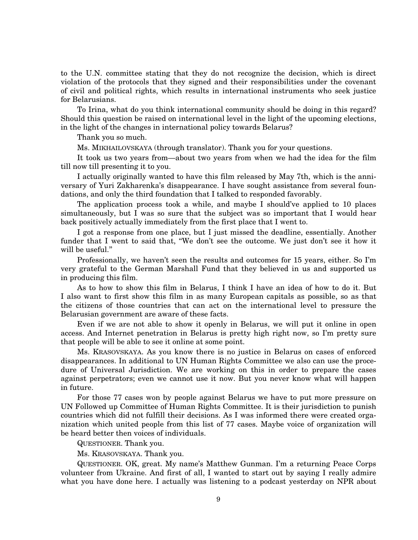to the U.N. committee stating that they do not recognize the decision, which is direct violation of the protocols that they signed and their responsibilities under the covenant of civil and political rights, which results in international instruments who seek justice for Belarusians.

To Irina, what do you think international community should be doing in this regard? Should this question be raised on international level in the light of the upcoming elections, in the light of the changes in international policy towards Belarus?

Thank you so much.

Ms. MIKHAILOVSKAYA (through translator). Thank you for your questions.

It took us two years from—about two years from when we had the idea for the film till now till presenting it to you.

I actually originally wanted to have this film released by May 7th, which is the anniversary of Yuri Zakharenka's disappearance. I have sought assistance from several foundations, and only the third foundation that I talked to responded favorably.

The application process took a while, and maybe I should've applied to 10 places simultaneously, but I was so sure that the subject was so important that I would hear back positively actually immediately from the first place that I went to.

I got a response from one place, but I just missed the deadline, essentially. Another funder that I went to said that, "We don't see the outcome. We just don't see it how it will be useful.''

Professionally, we haven't seen the results and outcomes for 15 years, either. So I'm very grateful to the German Marshall Fund that they believed in us and supported us in producing this film.

As to how to show this film in Belarus, I think I have an idea of how to do it. But I also want to first show this film in as many European capitals as possible, so as that the citizens of those countries that can act on the international level to pressure the Belarusian government are aware of these facts.

Even if we are not able to show it openly in Belarus, we will put it online in open access. And Internet penetration in Belarus is pretty high right now, so I'm pretty sure that people will be able to see it online at some point.

Ms. KRASOVSKAYA. As you know there is no justice in Belarus on cases of enforced disappearances. In additional to UN Human Rights Committee we also can use the procedure of Universal Jurisdiction. We are working on this in order to prepare the cases against perpetrators; even we cannot use it now. But you never know what will happen in future.

For those 77 cases won by people against Belarus we have to put more pressure on UN Followed up Committee of Human Rights Committee. It is their jurisdiction to punish countries which did not fulfill their decisions. As I was informed there were created organization which united people from this list of 77 cases. Maybe voice of organization will be heard better then voices of individuals.

QUESTIONER. Thank you.

Ms. KRASOVSKAYA. Thank you.

QUESTIONER. OK, great. My name's Matthew Gunman. I'm a returning Peace Corps volunteer from Ukraine. And first of all, I wanted to start out by saying I really admire what you have done here. I actually was listening to a podcast yesterday on NPR about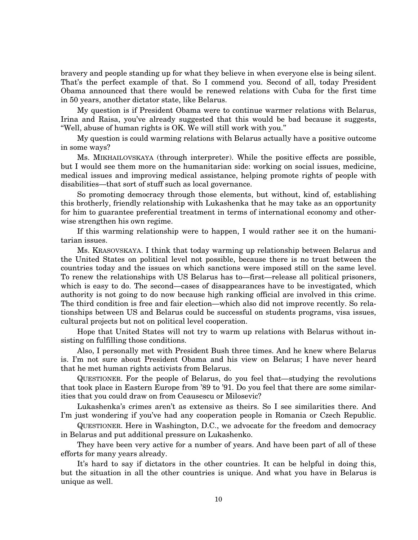bravery and people standing up for what they believe in when everyone else is being silent. That's the perfect example of that. So I commend you. Second of all, today President Obama announced that there would be renewed relations with Cuba for the first time in 50 years, another dictator state, like Belarus.

My question is if President Obama were to continue warmer relations with Belarus, Irina and Raisa, you've already suggested that this would be bad because it suggests, ''Well, abuse of human rights is OK. We will still work with you.''

My question is could warming relations with Belarus actually have a positive outcome in some ways?

Ms. MIKHAILOVSKAYA (through interpreter). While the positive effects are possible, but I would see them more on the humanitarian side: working on social issues, medicine, medical issues and improving medical assistance, helping promote rights of people with disabilities—that sort of stuff such as local governance.

So promoting democracy through those elements, but without, kind of, establishing this brotherly, friendly relationship with Lukashenka that he may take as an opportunity for him to guarantee preferential treatment in terms of international economy and otherwise strengthen his own regime.

If this warming relationship were to happen, I would rather see it on the humanitarian issues.

Ms. KRASOVSKAYA. I think that today warming up relationship between Belarus and the United States on political level not possible, because there is no trust between the countries today and the issues on which sanctions were imposed still on the same level. To renew the relationships with US Belarus has to—first—release all political prisoners, which is easy to do. The second—cases of disappearances have to be investigated, which authority is not going to do now because high ranking official are involved in this crime. The third condition is free and fair election—which also did not improve recently. So relationships between US and Belarus could be successful on students programs, visa issues, cultural projects but not on political level cooperation.

Hope that United States will not try to warm up relations with Belarus without insisting on fulfilling those conditions.

Also, I personally met with President Bush three times. And he knew where Belarus is. I'm not sure about President Obama and his view on Belarus; I have never heard that he met human rights activists from Belarus.

QUESTIONER. For the people of Belarus, do you feel that—studying the revolutions that took place in Eastern Europe from '89 to '91. Do you feel that there are some similarities that you could draw on from Ceausescu or Milosevic?

Lukashenka's crimes aren't as extensive as theirs. So I see similarities there. And I'm just wondering if you've had any cooperation people in Romania or Czech Republic.

QUESTIONER. Here in Washington, D.C., we advocate for the freedom and democracy in Belarus and put additional pressure on Lukashenko.

They have been very active for a number of years. And have been part of all of these efforts for many years already.

It's hard to say if dictators in the other countries. It can be helpful in doing this, but the situation in all the other countries is unique. And what you have in Belarus is unique as well.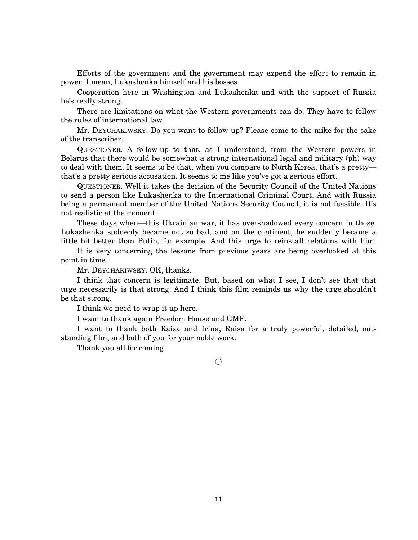Efforts of the government and the government may expend the effort to remain in power. I mean, Lukashenka himself and his bosses.

Cooperation here in Washington and Lukashenka and with the support of Russia he's really strong.

There are limitations on what the Western governments can do. They have to follow the rules of international law.

Mr. DEYCHAKIWSKY. Do you want to follow up? Please come to the mike for the sake of the transcriber.

QUESTIONER. A follow-up to that, as I understand, from the Western powers in Belarus that there would be somewhat a strong international legal and military (ph) way to deal with them. It seems to be that, when you compare to North Korea, that's a pretty that's a pretty serious accusation. It seems to me like you've got a serious effort.

QUESTIONER. Well it takes the decision of the Security Council of the United Nations to send a person like Lukashenka to the International Criminal Court. And with Russia being a permanent member of the United Nations Security Council, it is not feasible. It's not realistic at the moment.

These days when—this Ukrainian war, it has overshadowed every concern in those. Lukashenka suddenly became not so bad, and on the continent, he suddenly became a little bit better than Putin, for example. And this urge to reinstall relations with him.

It is very concerning the lessons from previous years are being overlooked at this point in time.

Mr. DEYCHAKIWSKY. OK, thanks.

I think that concern is legitimate. But, based on what I see, I don't see that that urge necessarily is that strong. And I think this film reminds us why the urge shouldn't be that strong.

I think we need to wrap it up here.

I want to thank again Freedom House and GMF.

I want to thank both Raisa and Irina, Raisa for a truly powerful, detailed, outstanding film, and both of you for your noble work.

Thank you all for coming.

 $\bigcap$